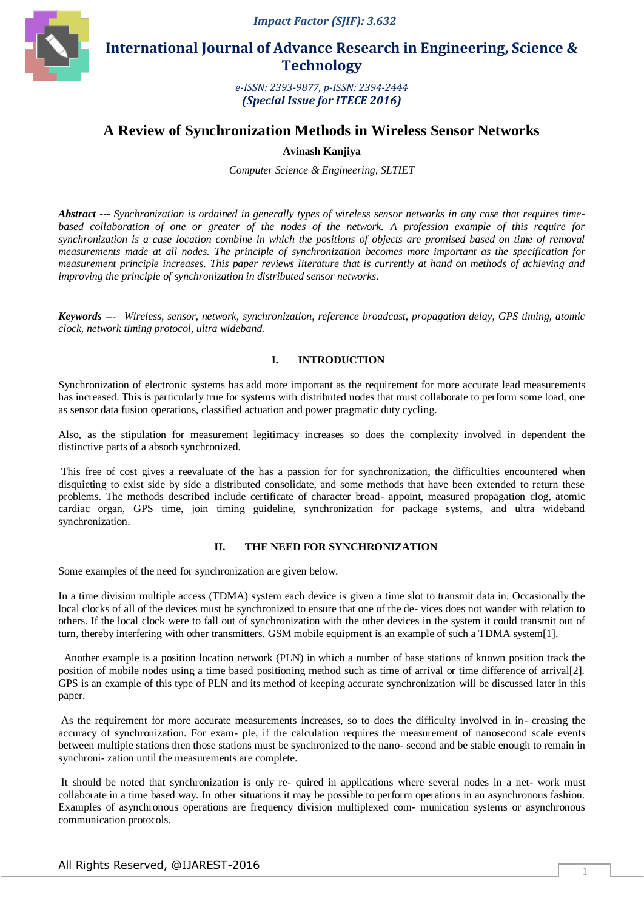

 **International Journal of Advance Research in Engineering, Science & Technology** 

> *e-ISSN: 2393-9877, p-ISSN: 2394-2444 (Special Issue for ITECE 2016)*

# **A Review of Synchronization Methods in Wireless Sensor Networks**

**Avinash Kanjiya**

*Computer Science & Engineering, SLTIET*

*Abstract --- Synchronization is ordained in generally types of wireless sensor networks in any case that requires timebased collaboration of one or greater of the nodes of the network. A profession example of this require for synchronization is a case location combine in which the positions of objects are promised based on time of removal measurements made at all nodes. The principle of synchronization becomes more important as the specification for measurement principle increases. This paper reviews literature that is currently at hand on methods of achieving and improving the principle of synchronization in distributed sensor networks.*

*Keywords --- Wireless, sensor, network, synchronization, reference broadcast, propagation delay, GPS timing, atomic clock, network timing protocol, ultra wideband.*

## **I. INTRODUCTION**

Synchronization of electronic systems has add more important as the requirement for more accurate lead measurements has increased. This is particularly true for systems with distributed nodes that must collaborate to perform some load, one as sensor data fusion operations, classified actuation and power pragmatic duty cycling.

Also, as the stipulation for measurement legitimacy increases so does the complexity involved in dependent the distinctive parts of a absorb synchronized.

This free of cost gives a reevaluate of the has a passion for for synchronization, the difficulties encountered when disquieting to exist side by side a distributed consolidate, and some methods that have been extended to return these problems. The methods described include certificate of character broad- appoint, measured propagation clog, atomic cardiac organ, GPS time, join timing guideline, synchronization for package systems, and ultra wideband synchronization.

#### **II. THE NEED FOR SYNCHRONIZATION**

Some examples of the need for synchronization are given below.

In a time division multiple access (TDMA) system each device is given a time slot to transmit data in. Occasionally the local clocks of all of the devices must be synchronized to ensure that one of the de- vices does not wander with relation to others. If the local clock were to fall out of synchronization with the other devices in the system it could transmit out of turn, thereby interfering with other transmitters. GSM mobile equipment is an example of such a TDMA system[1].

 Another example is a position location network (PLN) in which a number of base stations of known position track the position of mobile nodes using a time based positioning method such as time of arrival or time difference of arrival[2]. GPS is an example of this type of PLN and its method of keeping accurate synchronization will be discussed later in this paper.

As the requirement for more accurate measurements increases, so to does the difficulty involved in in- creasing the accuracy of synchronization. For exam- ple, if the calculation requires the measurement of nanosecond scale events between multiple stations then those stations must be synchronized to the nano- second and be stable enough to remain in synchroni- zation until the measurements are complete.

It should be noted that synchronization is only re- quired in applications where several nodes in a net- work must collaborate in a time based way. In other situations it may be possible to perform operations in an asynchronous fashion. Examples of asynchronous operations are frequency division multiplexed com- munication systems or asynchronous communication protocols.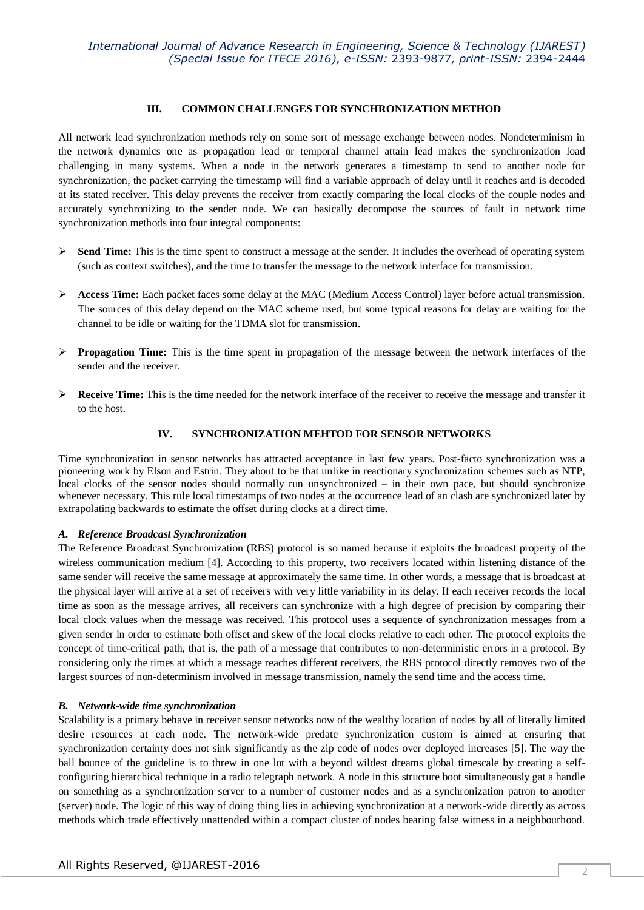## **III. COMMON CHALLENGES FOR SYNCHRONIZATION METHOD**

All network lead synchronization methods rely on some sort of message exchange between nodes. Nondeterminism in the network dynamics one as propagation lead or temporal channel attain lead makes the synchronization load challenging in many systems. When a node in the network generates a timestamp to send to another node for synchronization, the packet carrying the timestamp will find a variable approach of delay until it reaches and is decoded at its stated receiver. This delay prevents the receiver from exactly comparing the local clocks of the couple nodes and accurately synchronizing to the sender node. We can basically decompose the sources of fault in network time synchronization methods into four integral components:

- **Send Time:** This is the time spent to construct a message at the sender. It includes the overhead of operating system (such as context switches), and the time to transfer the message to the network interface for transmission.
- Access Time: Each packet faces some delay at the MAC (Medium Access Control) layer before actual transmission. The sources of this delay depend on the MAC scheme used, but some typical reasons for delay are waiting for the channel to be idle or waiting for the TDMA slot for transmission.
- **Propagation Time:** This is the time spent in propagation of the message between the network interfaces of the sender and the receiver.
- **Receive Time:** This is the time needed for the network interface of the receiver to receive the message and transfer it to the host.

## **IV. SYNCHRONIZATION MEHTOD FOR SENSOR NETWORKS**

Time synchronization in sensor networks has attracted acceptance in last few years. Post-facto synchronization was a pioneering work by Elson and Estrin. They about to be that unlike in reactionary synchronization schemes such as NTP, local clocks of the sensor nodes should normally run unsynchronized – in their own pace, but should synchronize whenever necessary. This rule local timestamps of two nodes at the occurrence lead of an clash are synchronized later by extrapolating backwards to estimate the offset during clocks at a direct time.

## *A. Reference Broadcast Synchronization*

The Reference Broadcast Synchronization (RBS) protocol is so named because it exploits the broadcast property of the wireless communication medium [4]. According to this property, two receivers located within listening distance of the same sender will receive the same message at approximately the same time. In other words, a message that is broadcast at the physical layer will arrive at a set of receivers with very little variability in its delay. If each receiver records the local time as soon as the message arrives, all receivers can synchronize with a high degree of precision by comparing their local clock values when the message was received. This protocol uses a sequence of synchronization messages from a given sender in order to estimate both offset and skew of the local clocks relative to each other. The protocol exploits the concept of time-critical path, that is, the path of a message that contributes to non-deterministic errors in a protocol. By considering only the times at which a message reaches different receivers, the RBS protocol directly removes two of the largest sources of non-determinism involved in message transmission, namely the send time and the access time.

## *B. Network-wide time synchronization*

Scalability is a primary behave in receiver sensor networks now of the wealthy location of nodes by all of literally limited desire resources at each node. The network-wide predate synchronization custom is aimed at ensuring that synchronization certainty does not sink significantly as the zip code of nodes over deployed increases [5]. The way the ball bounce of the guideline is to threw in one lot with a beyond wildest dreams global timescale by creating a selfconfiguring hierarchical technique in a radio telegraph network. A node in this structure boot simultaneously gat a handle on something as a synchronization server to a number of customer nodes and as a synchronization patron to another (server) node. The logic of this way of doing thing lies in achieving synchronization at a network-wide directly as across methods which trade effectively unattended within a compact cluster of nodes bearing false witness in a neighbourhood.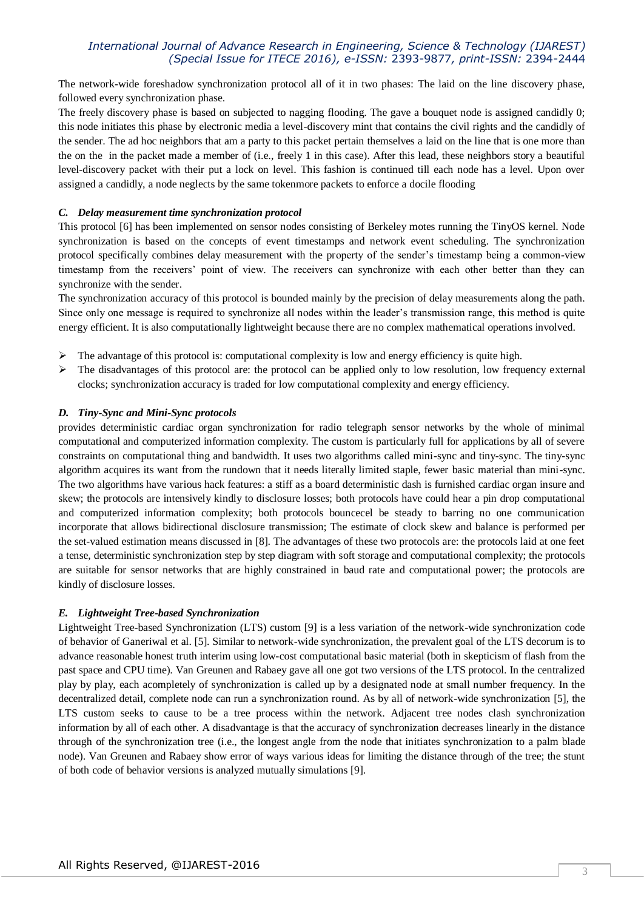## *International Journal of Advance Research in Engineering, Science & Technology (IJAREST) (Special Issue for ITECE 2016), e-ISSN:* 2393-9877*, print-ISSN:* 2394-2444

The network-wide foreshadow synchronization protocol all of it in two phases: The laid on the line discovery phase, followed every synchronization phase.

The freely discovery phase is based on subjected to nagging flooding. The gave a bouquet node is assigned candidly 0; this node initiates this phase by electronic media a level-discovery mint that contains the civil rights and the candidly of the sender. The ad hoc neighbors that am a party to this packet pertain themselves a laid on the line that is one more than the on the in the packet made a member of (i.e., freely 1 in this case). After this lead, these neighbors story a beautiful level-discovery packet with their put a lock on level. This fashion is continued till each node has a level. Upon over assigned a candidly, a node neglects by the same tokenmore packets to enforce a docile flooding

## *C. Delay measurement time synchronization protocol*

This protocol [6] has been implemented on sensor nodes consisting of Berkeley motes running the TinyOS kernel. Node synchronization is based on the concepts of event timestamps and network event scheduling. The synchronization protocol specifically combines delay measurement with the property of the sender's timestamp being a common-view timestamp from the receivers' point of view. The receivers can synchronize with each other better than they can synchronize with the sender.

The synchronization accuracy of this protocol is bounded mainly by the precision of delay measurements along the path. Since only one message is required to synchronize all nodes within the leader's transmission range, this method is quite energy efficient. It is also computationally lightweight because there are no complex mathematical operations involved.

- The advantage of this protocol is: computational complexity is low and energy efficiency is quite high.
- $\triangleright$  The disadvantages of this protocol are: the protocol can be applied only to low resolution, low frequency external clocks; synchronization accuracy is traded for low computational complexity and energy efficiency.

#### *D. Tiny-Sync and Mini-Sync protocols*

provides deterministic cardiac organ synchronization for radio telegraph sensor networks by the whole of minimal computational and computerized information complexity. The custom is particularly full for applications by all of severe constraints on computational thing and bandwidth. It uses two algorithms called mini-sync and tiny-sync. The tiny-sync algorithm acquires its want from the rundown that it needs literally limited staple, fewer basic material than mini-sync. The two algorithms have various hack features: a stiff as a board deterministic dash is furnished cardiac organ insure and skew; the protocols are intensively kindly to disclosure losses; both protocols have could hear a pin drop computational and computerized information complexity; both protocols bouncecel be steady to barring no one communication incorporate that allows bidirectional disclosure transmission; The estimate of clock skew and balance is performed per the set-valued estimation means discussed in [8]. The advantages of these two protocols are: the protocols laid at one feet a tense, deterministic synchronization step by step diagram with soft storage and computational complexity; the protocols are suitable for sensor networks that are highly constrained in baud rate and computational power; the protocols are kindly of disclosure losses.

#### *E. Lightweight Tree-based Synchronization*

Lightweight Tree-based Synchronization (LTS) custom [9] is a less variation of the network-wide synchronization code of behavior of Ganeriwal et al. [5]. Similar to network-wide synchronization, the prevalent goal of the LTS decorum is to advance reasonable honest truth interim using low-cost computational basic material (both in skepticism of flash from the past space and CPU time). Van Greunen and Rabaey gave all one got two versions of the LTS protocol. In the centralized play by play, each acompletely of synchronization is called up by a designated node at small number frequency. In the decentralized detail, complete node can run a synchronization round. As by all of network-wide synchronization [5], the LTS custom seeks to cause to be a tree process within the network. Adjacent tree nodes clash synchronization information by all of each other. A disadvantage is that the accuracy of synchronization decreases linearly in the distance through of the synchronization tree (i.e., the longest angle from the node that initiates synchronization to a palm blade node). Van Greunen and Rabaey show error of ways various ideas for limiting the distance through of the tree; the stunt of both code of behavior versions is analyzed mutually simulations [9].